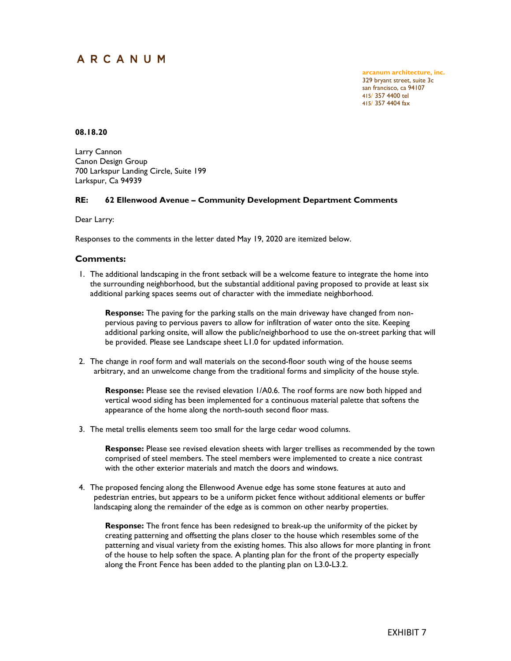## ARCANUM

**arcanum architecture, inc.** 329 bryant street, suite 3c san francisco, ca 94107 415/ 357 4400 tel 415/ 357 4404 fax

## **08.18.20**

Larry Cannon Canon Design Group 700 Larkspur Landing Circle, Suite 199 Larkspur, Ca 94939

## **RE: 62 Ellenwood Avenue – Community Development Department Comments**

Dear Larry:

Responses to the comments in the letter dated May 19, 2020 are itemized below.

## **Comments:**

1. The additional landscaping in the front setback will be a welcome feature to integrate the home into the surrounding neighborhood, but the substantial additional paving proposed to provide at least six additional parking spaces seems out of character with the immediate neighborhood.

**Response:** The paving for the parking stalls on the main driveway have changed from nonpervious paving to pervious pavers to allow for infiltration of water onto the site. Keeping additional parking onsite, will allow the public/neighborhood to use the on-street parking that will be provided. Please see Landscape sheet L1.0 for updated information.

2. The change in roof form and wall materials on the second-floor south wing of the house seems arbitrary, and an unwelcome change from the traditional forms and simplicity of the house style.

**Response:** Please see the revised elevation 1/A0.6. The roof forms are now both hipped and vertical wood siding has been implemented for a continuous material palette that softens the appearance of the home along the north-south second floor mass.

3. The metal trellis elements seem too small for the large cedar wood columns.

**Response:** Please see revised elevation sheets with larger trellises as recommended by the town comprised of steel members. The steel members were implemented to create a nice contrast with the other exterior materials and match the doors and windows.

4. The proposed fencing along the Ellenwood Avenue edge has some stone features at auto and pedestrian entries, but appears to be a uniform picket fence without additional elements or buffer landscaping along the remainder of the edge as is common on other nearby properties.

**Response:** The front fence has been redesigned to break-up the uniformity of the picket by creating patterning and offsetting the plans closer to the house which resembles some of the patterning and visual variety from the existing homes. This also allows for more planting in front of the house to help soften the space. A planting plan for the front of the property especially along the Front Fence has been added to the planting plan on L3.0-L3.2.